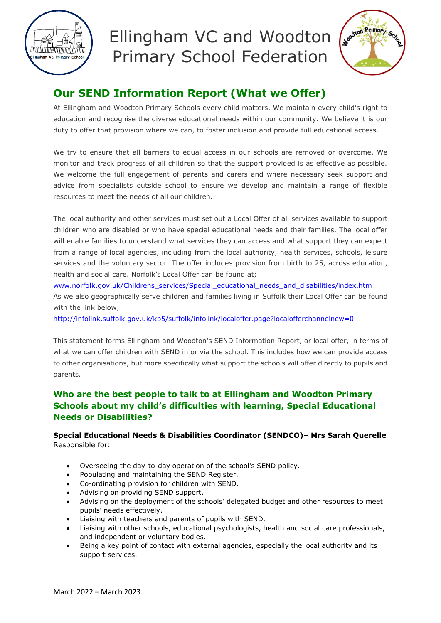



# **Our SEND Information Report (What we Offer)**

At Ellingham and Woodton Primary Schools every child matters. We maintain every child's right to education and recognise the diverse educational needs within our community. We believe it is our duty to offer that provision where we can, to foster inclusion and provide full educational access.

We try to ensure that all barriers to equal access in our schools are removed or overcome. We monitor and track progress of all children so that the support provided is as effective as possible. We welcome the full engagement of parents and carers and where necessary seek support and advice from specialists outside school to ensure we develop and maintain a range of flexible resources to meet the needs of all our children.

The local authority and other services must set out a Local Offer of all services available to support children who are disabled or who have special educational needs and their families. The local offer will enable families to understand what services they can access and what support they can expect from a range of local agencies, including from the local authority, health services, schools, leisure services and the voluntary sector. The offer includes provision from birth to 25, across education, health and social care. Norfolk's Local Offer can be found at;

[www.norfolk.gov.uk/Childrens\\_services/Special\\_educational\\_needs\\_and\\_disabilities/index.htm](http://www.norfolk.gov.uk/Childrens_services/Special_educational_needs_and_disabilities/index.htm) As we also geographically serve children and families living in Suffolk their Local Offer can be found with the link below;

<http://infolink.suffolk.gov.uk/kb5/suffolk/infolink/localoffer.page?localofferchannelnew=0>

This statement forms Ellingham and Woodton's SEND Information Report, or local offer, in terms of what we can offer children with SEND in or via the school. This includes how we can provide access to other organisations, but more specifically what support the schools will offer directly to pupils and parents.

# **Who are the best people to talk to at Ellingham and Woodton Primary Schools about my child's difficulties with learning, Special Educational Needs or Disabilities?**

# **Special Educational Needs & Disabilities Coordinator (SENDCO)– Mrs Sarah Querelle** Responsible for:

- Overseeing the day-to-day operation of the school's SEND policy.
- Populating and maintaining the SEND Register.
- Co-ordinating provision for children with SEND.
- Advising on providing SEND support.
- Advising on the deployment of the schools' delegated budget and other resources to meet pupils' needs effectively.
- Liaising with teachers and parents of pupils with SEND.
- Liaising with other schools, educational psychologists, health and social care professionals, and independent or voluntary bodies.
- Being a key point of contact with external agencies, especially the local authority and its support services.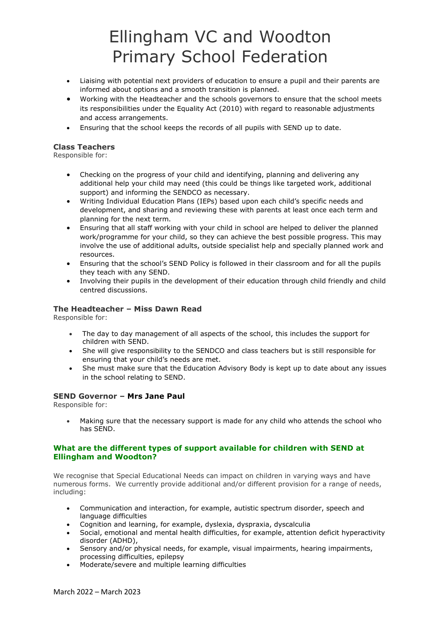- Liaising with potential next providers of education to ensure a pupil and their parents are informed about options and a smooth transition is planned.
- Working with the Headteacher and the schools governors to ensure that the school meets its responsibilities under the Equality Act (2010) with regard to reasonable adjustments and access arrangements.
- Ensuring that the school keeps the records of all pupils with SEND up to date.

### **Class Teachers**

Responsible for:

- Checking on the progress of your child and identifying, planning and delivering any additional help your child may need (this could be things like targeted work, additional support) and informing the SENDCO as necessary.
- Writing Individual Education Plans (IEPs) based upon each child's specific needs and development, and sharing and reviewing these with parents at least once each term and planning for the next term.
- Ensuring that all staff working with your child in school are helped to deliver the planned work/programme for your child, so they can achieve the best possible progress. This may involve the use of additional adults, outside specialist help and specially planned work and resources.
- Ensuring that the school's SEND Policy is followed in their classroom and for all the pupils they teach with any SEND.
- Involving their pupils in the development of their education through child friendly and child centred discussions.

### **The Headteacher – Miss Dawn Read**

Responsible for:

- The day to day management of all aspects of the school, this includes the support for children with SEND.
- She will give responsibility to the SENDCO and class teachers but is still responsible for ensuring that your child's needs are met.
- She must make sure that the Education Advisory Body is kept up to date about any issues in the school relating to SEND.

### **SEND Governor – Mrs Jane Paul**

Responsible for:

• Making sure that the necessary support is made for any child who attends the school who has SEND.

#### **What are the different types of support available for children with SEND at Ellingham and Woodton?**

We recognise that Special Educational Needs can impact on children in varying ways and have numerous forms. We currently provide additional and/or different provision for a range of needs, including:

- Communication and interaction, for example, autistic spectrum disorder, speech and language difficulties
- Cognition and learning, for example, dyslexia, dyspraxia, dyscalculia
- Social, emotional and mental health difficulties, for example, attention deficit hyperactivity disorder (ADHD),
- Sensory and/or physical needs, for example, visual impairments, hearing impairments, processing difficulties, epilepsy
- Moderate/severe and multiple learning difficulties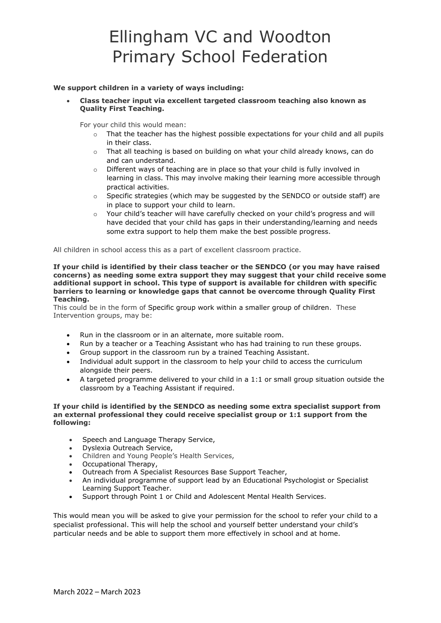#### **We support children in a variety of ways including:**

• **Class teacher input via excellent targeted classroom teaching also known as Quality First Teaching.**

For your child this would mean:

- $\circ$  That the teacher has the highest possible expectations for your child and all pupils in their class.
- $\circ$  That all teaching is based on building on what your child already knows, can do and can understand.
- o Different ways of teaching are in place so that your child is fully involved in learning in class. This may involve making their learning more accessible through practical activities.
- $\circ$  Specific strategies (which may be suggested by the SENDCO or outside staff) are in place to support your child to learn.
- o Your child's teacher will have carefully checked on your child's progress and will have decided that your child has gaps in their understanding/learning and needs some extra support to help them make the best possible progress.

All children in school access this as a part of excellent classroom practice.

**If your child is identified by their class teacher or the SENDCO (or you may have raised concerns) as needing some extra support they may suggest that your child receive some additional support in school. This type of support is available for children with specific barriers to learning or knowledge gaps that cannot be overcome through Quality First Teaching.** 

This could be in the form of Specific group work within a smaller group of children. These Intervention groups, may be:

- Run in the classroom or in an alternate, more suitable room.
- Run by a teacher or a Teaching Assistant who has had training to run these groups.
- Group support in the classroom run by a trained Teaching Assistant.
- Individual adult support in the classroom to help your child to access the curriculum alongside their peers.
- A targeted programme delivered to your child in a 1:1 or small group situation outside the classroom by a Teaching Assistant if required.

#### **If your child is identified by the SENDCO as needing some extra specialist support from an external professional they could receive specialist group or 1:1 support from the following:**

- Speech and Language Therapy Service,
- Dyslexia Outreach Service,
- Children and Young People's Health Services,
- Occupational Therapy,
- Outreach from A Specialist Resources Base Support Teacher,
- An individual programme of support lead by an Educational Psychologist or Specialist Learning Support Teacher.
- Support through Point 1 or Child and Adolescent Mental Health Services.

This would mean you will be asked to give your permission for the school to refer your child to a specialist professional. This will help the school and yourself better understand your child's particular needs and be able to support them more effectively in school and at home.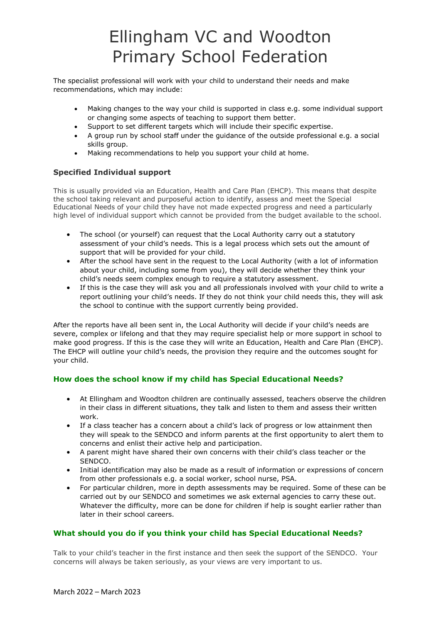The specialist professional will work with your child to understand their needs and make recommendations, which may include:

- Making changes to the way your child is supported in class e.g. some individual support or changing some aspects of teaching to support them better.
- Support to set different targets which will include their specific expertise.
- A group run by school staff under the guidance of the outside professional e.g. a social skills group.
- Making recommendations to help you support your child at home.

## **Specified Individual support**

This is usually provided via an Education, Health and Care Plan (EHCP). This means that despite the school taking relevant and purposeful action to identify, assess and meet the Special Educational Needs of your child they have not made expected progress and need a particularly high level of individual support which cannot be provided from the budget available to the school.

- The school (or yourself) can request that the Local Authority carry out a statutory assessment of your child's needs. This is a legal process which sets out the amount of support that will be provided for your child.
- After the school have sent in the request to the Local Authority (with a lot of information about your child, including some from you), they will decide whether they think your child's needs seem complex enough to require a statutory assessment.
- If this is the case they will ask you and all professionals involved with your child to write a report outlining your child's needs. If they do not think your child needs this, they will ask the school to continue with the support currently being provided.

After the reports have all been sent in, the Local Authority will decide if your child's needs are severe, complex or lifelong and that they may require specialist help or more support in school to make good progress. If this is the case they will write an Education, Health and Care Plan (EHCP). The EHCP will outline your child's needs, the provision they require and the outcomes sought for your child.

# **How does the school know if my child has Special Educational Needs?**

- At Ellingham and Woodton children are continually assessed, teachers observe the children in their class in different situations, they talk and listen to them and assess their written work.
- If a class teacher has a concern about a child's lack of progress or low attainment then they will speak to the SENDCO and inform parents at the first opportunity to alert them to concerns and enlist their active help and participation.
- A parent might have shared their own concerns with their child's class teacher or the SENDCO.
- Initial identification may also be made as a result of information or expressions of concern from other professionals e.g. a social worker, school nurse, PSA.
- For particular children, more in depth assessments may be required. Some of these can be carried out by our SENDCO and sometimes we ask external agencies to carry these out. Whatever the difficulty, more can be done for children if help is sought earlier rather than later in their school careers.

### **What should you do if you think your child has Special Educational Needs?**

Talk to your child's teacher in the first instance and then seek the support of the SENDCO. Your concerns will always be taken seriously, as your views are very important to us.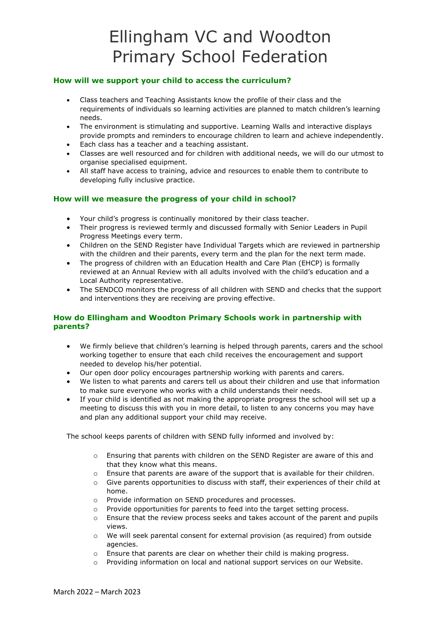### **How will we support your child to access the curriculum?**

- Class teachers and Teaching Assistants know the profile of their class and the requirements of individuals so learning activities are planned to match children's learning needs.
- The environment is stimulating and supportive. Learning Walls and interactive displays provide prompts and reminders to encourage children to learn and achieve independently.
- Each class has a teacher and a teaching assistant.
- Classes are well resourced and for children with additional needs, we will do our utmost to organise specialised equipment.
- All staff have access to training, advice and resources to enable them to contribute to developing fully inclusive practice.

### **How will we measure the progress of your child in school?**

- Your child's progress is continually monitored by their class teacher.
- Their progress is reviewed termly and discussed formally with Senior Leaders in Pupil Progress Meetings every term.
- Children on the SEND Register have Individual Targets which are reviewed in partnership with the children and their parents, every term and the plan for the next term made.
- The progress of children with an Education Health and Care Plan (EHCP) is formally reviewed at an Annual Review with all adults involved with the child's education and a Local Authority representative.
- The SENDCO monitors the progress of all children with SEND and checks that the support and interventions they are receiving are proving effective.

### **How do Ellingham and Woodton Primary Schools work in partnership with parents?**

- We firmly believe that children's learning is helped through parents, carers and the school working together to ensure that each child receives the encouragement and support needed to develop his/her potential.
- Our open door policy encourages partnership working with parents and carers.
- We listen to what parents and carers tell us about their children and use that information to make sure everyone who works with a child understands their needs.
- If your child is identified as not making the appropriate progress the school will set up a meeting to discuss this with you in more detail, to listen to any concerns you may have and plan any additional support your child may receive.

The school keeps parents of children with SEND fully informed and involved by:

- o Ensuring that parents with children on the SEND Register are aware of this and that they know what this means.
- o Ensure that parents are aware of the support that is available for their children.
- $\circ$  Give parents opportunities to discuss with staff, their experiences of their child at home.
- o Provide information on SEND procedures and processes.
- o Provide opportunities for parents to feed into the target setting process.
- $\circ$  Ensure that the review process seeks and takes account of the parent and pupils views.
- $\circ$  We will seek parental consent for external provision (as required) from outside agencies.
- o Ensure that parents are clear on whether their child is making progress.
- o Providing information on local and national support services on our Website.